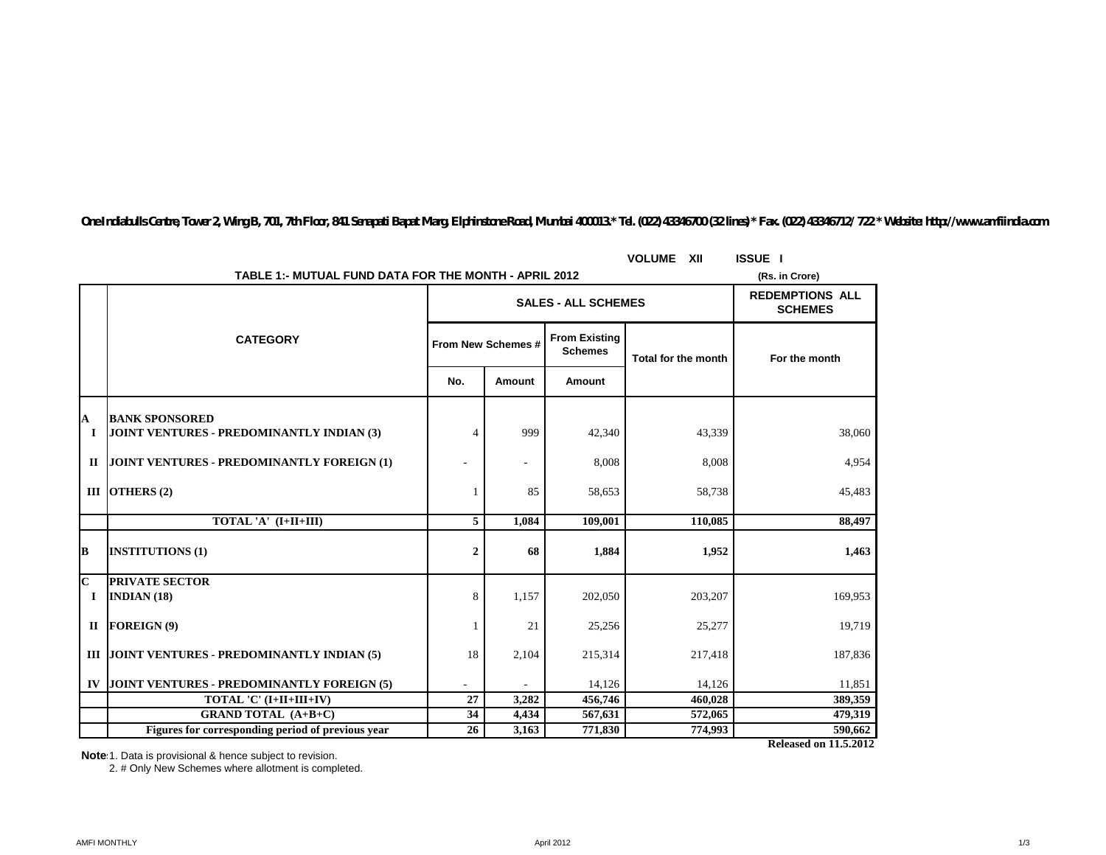|                         |                                                                    | <b>VOLUME XII</b> | <b>ISSUE I</b>             |                                          |                            |                |
|-------------------------|--------------------------------------------------------------------|-------------------|----------------------------|------------------------------------------|----------------------------|----------------|
|                         | TABLE 1:- MUTUAL FUND DATA FOR THE MONTH - APRIL 2012              |                   |                            |                                          |                            | (Rs. in Crore) |
|                         |                                                                    |                   | <b>SALES - ALL SCHEMES</b> | <b>REDEMPTIONS ALL</b><br><b>SCHEMES</b> |                            |                |
|                         | <b>CATEGORY</b>                                                    |                   | From New Schemes #         | <b>From Existing</b><br><b>Schemes</b>   | <b>Total for the month</b> | For the month  |
|                         |                                                                    | No.               | Amount                     | Amount                                   |                            |                |
|                         |                                                                    |                   |                            |                                          |                            |                |
| A<br><b>I</b>           | <b>BANK SPONSORED</b><br>JOINT VENTURES - PREDOMINANTLY INDIAN (3) | 4                 | 999                        | 42,340                                   | 43,339                     | 38,060         |
| $\mathbf{I}$            | JOINT VENTURES - PREDOMINANTLY FOREIGN (1)                         |                   |                            | 8,008                                    | 8,008                      | 4,954          |
|                         | III OTHERS $(2)$                                                   |                   | 85                         | 58,653                                   | 58,738                     | 45,483         |
|                         | TOTAL 'A' (I+II+III)                                               | 5                 | 1.084                      | 109,001                                  | 110.085                    | 88,497         |
| B                       | <b>INSTITUTIONS (1)</b>                                            | $\boldsymbol{2}$  | 68                         | 1,884                                    | 1,952                      | 1,463          |
| $\overline{\mathbf{C}}$ | <b>PRIVATE SECTOR</b>                                              |                   |                            |                                          |                            |                |
| $\bf{I}$                | INDIAN $(18)$                                                      | 8                 | 1,157                      | 202,050                                  | 203,207                    | 169,953        |
| $\mathbf{I}$            | FOREIGN(9)                                                         |                   | 21                         | 25,256                                   | 25,277                     | 19,719         |
|                         | III JOINT VENTURES - PREDOMINANTLY INDIAN (5)                      | 18                | 2,104                      | 215,314                                  | 217,418                    | 187,836        |
| IV                      | JOINT VENTURES - PREDOMINANTLY FOREIGN (5)                         | $\sim$            |                            | 14,126                                   | 14,126                     | 11,851         |
|                         | TOTAL 'C' (I+II+III+IV)                                            | 27                | 3,282                      | 456,746                                  | 460,028                    | 389,359        |
|                         | <b>GRAND TOTAL (A+B+C)</b>                                         | 34                | 4,434                      | 567,631                                  | 572,065                    | 479,319        |
|                         | Figures for corresponding period of previous year                  | 26                | 3,163                      | 771,830                                  | 774,993                    | 590,662        |

*One Indiabulls Centre, Tower 2, Wing B, 701, 7th Floor, 841 Senapati Bapat Marg, Elphinstone Road, Mumbai 400013.\* Tel. (022) 43346700 (32 lines) \* Fax. (022) 43346712/ 722 \* Website: http://www.amfiindia.com*

**Note**:1. Data is provisional & hence subject to revision.

2. # Only New Schemes where allotment is completed.

**Released on 11.5.2012**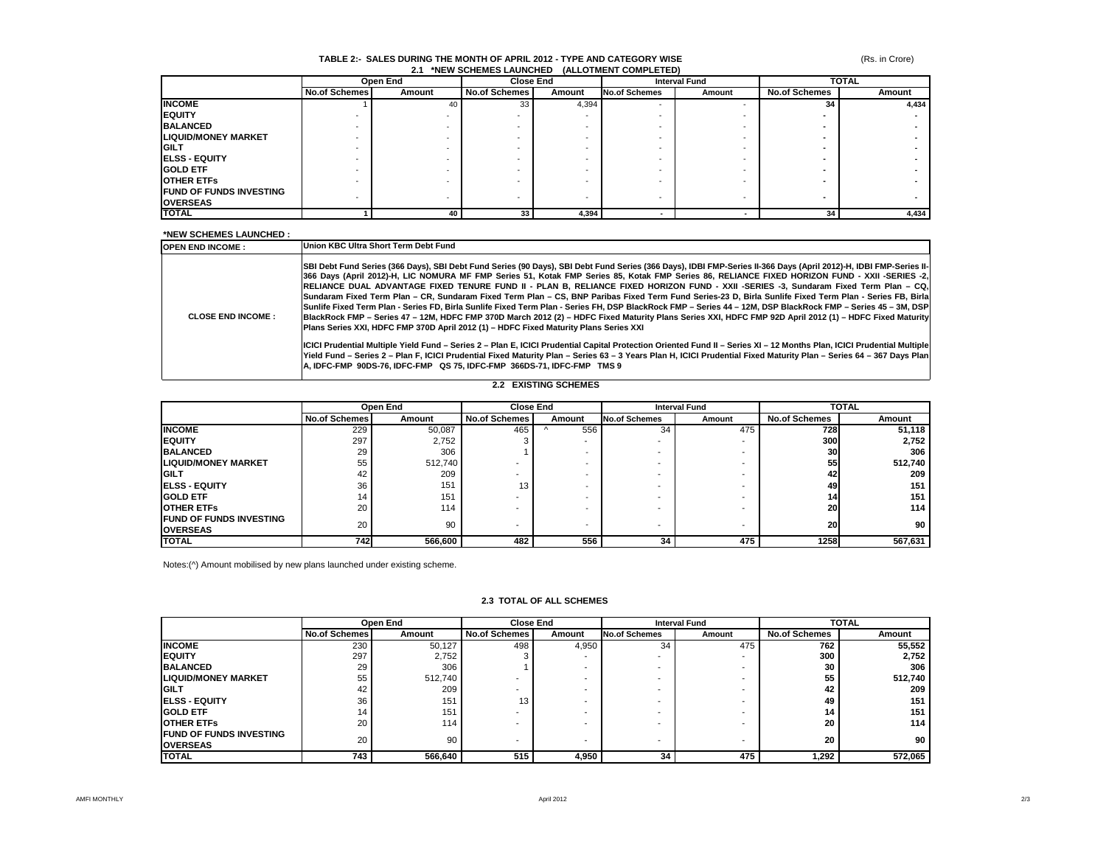### **TABLE 2:- SALES DURING THE MONTH OF APRIL 2012 - TYPE AND CATEGORY WISE 2.1 \*NEW SCHEMES LAUNCHED (ALLOTMENT COMPLETED)**

|                                 |               | Open End |                      | <b>Close End</b> |                          | <b>Interval Fund</b> |                      | <b>TOTAL</b> |  |
|---------------------------------|---------------|----------|----------------------|------------------|--------------------------|----------------------|----------------------|--------------|--|
|                                 | No.of Schemes | Amount   | <b>No.of Schemes</b> | Amount           | <b>No.of Schemes</b>     | Amount               | <b>No.of Schemes</b> | Amount       |  |
| <b>INCOME</b>                   |               | 40       | 33                   | 4,394            | $\overline{\phantom{a}}$ |                      | 34                   | 4,434        |  |
| <b>IEQUITY</b>                  |               |          |                      |                  |                          |                      |                      |              |  |
| <b>BALANCED</b>                 |               |          |                      |                  |                          |                      |                      |              |  |
| <b>LIQUID/MONEY MARKET</b>      |               |          |                      |                  |                          |                      |                      |              |  |
| <b>IGILT</b>                    |               |          |                      |                  |                          |                      |                      |              |  |
| <b>IELSS - EQUITY</b>           |               |          |                      |                  |                          |                      |                      |              |  |
| <b>IGOLD ETF</b>                |               |          |                      |                  |                          |                      |                      |              |  |
| <b>OTHER ETFS</b>               |               |          |                      |                  |                          |                      |                      |              |  |
| <b>IFUND OF FUNDS INVESTING</b> |               |          |                      |                  |                          |                      |                      |              |  |
| <b>OVERSEAS</b>                 |               |          |                      |                  | $\overline{\phantom{a}}$ |                      |                      |              |  |
| <b>TOTAL</b>                    |               | 40       | 33                   | 4,394            |                          |                      | 34                   | 4,434        |  |

### **\*NEW SCHEMES LAUNCHED :**

| <b>OPEN END INCOME:</b>     | Union KBC Ultra Short Term Debt Fund                                                                                                                                                                                                                                                                                                                                                                                                                                                                                                                                                                                                                                                                                                                                                                                                                                                                                                                                                                                                         |  |  |  |  |  |
|-----------------------------|----------------------------------------------------------------------------------------------------------------------------------------------------------------------------------------------------------------------------------------------------------------------------------------------------------------------------------------------------------------------------------------------------------------------------------------------------------------------------------------------------------------------------------------------------------------------------------------------------------------------------------------------------------------------------------------------------------------------------------------------------------------------------------------------------------------------------------------------------------------------------------------------------------------------------------------------------------------------------------------------------------------------------------------------|--|--|--|--|--|
| <b>CLOSE END INCOME:</b>    | SBI Debt Fund Series (366 Days), SBI Debt Fund Series (90 Days), SBI Debt Fund Series (366 Days), IDBI FMP-Series II-366 Days (April 2012)-H, IDBI FMP-Series II-<br>366 Days (April 2012)-H, LIC NOMURA MF FMP Series 51, Kotak FMP Series 85, Kotak FMP Series 86, RELIANCE FIXED HORIZON FUND - XXII -SERIES -2,<br>RELIANCE DUAL ADVANTAGE FIXED TENURE FUND II - PLAN B, RELIANCE FIXED HORIZON FUND - XXII -SERIES -3, Sundaram Fixed Term Plan - CQ.<br>Sundaram Fixed Term Plan – CR. Sundaram Fixed Term Plan – CS. BNP Paribas Fixed Term Fund Series-23 D. Birla Sunlife Fixed Term Plan - Series FB. Birla<br> Sunlife Fixed Term Plan - Series FD, Birla Sunlife Fixed Term Plan - Series FH, DSP BlackRock FMP – Series 44 – 12M, DSP BlackRock FMP – Series 45 – 3M, DSP <br>BlackRock FMP - Series 47 - 12M, HDFC FMP 370D March 2012 (2) - HDFC Fixed Maturity Plans Series XXI, HDFC FMP 92D April 2012 (1) - HDFC Fixed Maturity<br>Plans Series XXI, HDFC FMP 370D April 2012 (1) - HDFC Fixed Maturity Plans Series XXI |  |  |  |  |  |
|                             | ICICI Prudential Multiple Yield Fund - Series 2 - Plan E, ICICI Prudential Capital Protection Oriented Fund II - Series XI - 12 Months Plan, ICICI Prudential Multiple<br>Yield Fund - Series 2 - Plan F, ICICI Prudential Fixed Maturity Plan - Series 63 - 3 Years Plan H, ICICI Prudential Fixed Maturity Plan - Series 64 - 367 Days Plan<br>lA. IDFC-FMP_90DS-76. IDFC-FMP_ QS 75. IDFC-FMP_366DS-71. IDFC-FMP_ TMS 9_                                                                                                                                                                                                                                                                                                                                                                                                                                                                                                                                                                                                                  |  |  |  |  |  |
| <b>2.2 EXISTING SCHEMES</b> |                                                                                                                                                                                                                                                                                                                                                                                                                                                                                                                                                                                                                                                                                                                                                                                                                                                                                                                                                                                                                                              |  |  |  |  |  |

|                                                    | Open End             |         | <b>Close End</b>     |                          | <b>Interval Fund</b>     |        | <b>TOTAL</b>         |         |
|----------------------------------------------------|----------------------|---------|----------------------|--------------------------|--------------------------|--------|----------------------|---------|
|                                                    | <b>No.of Schemes</b> | Amount  | <b>No.of Schemes</b> | Amount                   | <b>No.of Schemes</b>     | Amount | <b>No.of Schemes</b> | Amount  |
| <b>INCOME</b>                                      | 229                  | 50,087  | 465                  | 556                      | 34                       | 475    | 728                  | 51.118  |
| <b>IEQUITY</b>                                     | 297                  | 2,752   |                      |                          |                          |        | <b>300</b>           | 2,752   |
| <b>BALANCED</b>                                    | 29                   | 306     |                      | $\overline{\phantom{a}}$ | -                        |        | 30                   | 306     |
| <b>LIQUID/MONEY MARKET</b>                         | 55                   | 512.740 |                      | $\overline{\phantom{a}}$ | $\overline{\phantom{0}}$ |        | 55                   | 512,740 |
| <b>GILT</b>                                        | 42                   | 209     |                      | $\overline{\phantom{a}}$ | $\overline{\phantom{0}}$ |        | 42                   | 209     |
| <b>IELSS - EQUITY</b>                              | 36                   | 151     | 13                   | $\overline{\phantom{a}}$ |                          |        | 49                   | 151     |
| <b>GOLD ETF</b>                                    | 14                   | 151     |                      | $\overline{\phantom{a}}$ |                          |        | 14                   | 151     |
| <b>OTHER ETFS</b>                                  | 20                   | 114     |                      | $\overline{\phantom{a}}$ |                          |        | 20                   | 114     |
| <b>IFUND OF FUNDS INVESTING</b><br><b>OVERSEAS</b> | 20                   | 90      |                      | $\overline{\phantom{a}}$ | $\overline{\phantom{a}}$ |        | 20                   | 90      |
| <b>TOTAL</b>                                       | <b>7421</b>          | 566,600 | 482                  | 556                      | 34                       | 475    | 1258                 | 567,631 |

Notes:(^) Amount mobilised by new plans launched under existing scheme.

|                                                   |                      | Open End |               | <b>Close End</b><br><b>Interval Fund</b> |                      | <b>TOTAL</b> |                      |         |
|---------------------------------------------------|----------------------|----------|---------------|------------------------------------------|----------------------|--------------|----------------------|---------|
|                                                   | <b>No.of Schemes</b> | Amount   | No.of Schemes | Amount                                   | <b>No.of Schemes</b> | Amount       | <b>No.of Schemes</b> | Amount  |
| <b>INCOME</b>                                     | 230                  | 50,127   | 498           | 4,950                                    | 34                   | 475          | 762                  | 55,552  |
| <b>EQUITY</b>                                     | 297                  | 2.752    |               |                                          |                      |              | 300                  | 2,752   |
| <b>BALANCED</b>                                   | 29                   | 306      |               |                                          |                      |              | 30                   | 306     |
| <b>LIQUID/MONEY MARKET</b>                        | 55                   | 512,740  |               |                                          |                      |              | 55                   | 512,740 |
| <b>GILT</b>                                       | 42                   | 209      |               |                                          |                      |              | 42                   | 209     |
| <b>ELSS - EQUITY</b>                              | 36                   | 151      | 13            |                                          |                      |              | 49                   | 151     |
| <b>GOLD ETF</b>                                   |                      | 151      |               |                                          |                      |              | 14                   | 151     |
| <b>OTHER ETFS</b>                                 | 20                   | 114      |               |                                          |                      |              | 20                   | 114     |
| <b>FUND OF FUNDS INVESTING</b><br><b>OVERSEAS</b> | 20                   | 90       |               |                                          |                      |              | 20                   | 90      |
| <b>TOTAL</b>                                      | 743                  | 566,640  | 515           | 4,950                                    | 34                   | 475          | 1.292                | 572,065 |

#### **2.3 TOTAL OF ALL SCHEMES**